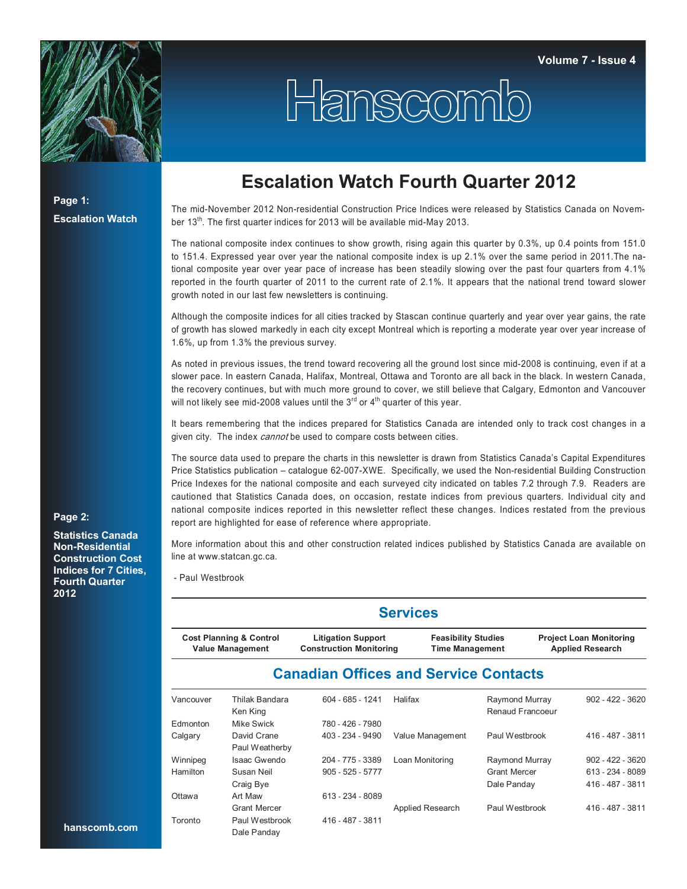

## Hanscomb

**Page 1: Escalation Watch**

## **Escalation Watch Fourth Quarter 2012**

The mid-November 2012 Non-residential Construction Price Indices were released by Statistics Canada on November 13<sup>th</sup>. The first quarter indices for 2013 will be available mid-May 2013.

The national composite index continues to show growth, rising again this quarter by 0.3%, up 0.4 points from 151.0 to 151.4. Expressed year over year the national composite index is up 2.1% over the same period in 2011.The national composite year over year pace of increase has been steadily slowing over the past four quarters from 4.1% reported in the fourth quarter of 2011 to the current rate of 2.1%. It appears that the national trend toward slower growth noted in our last few newsletters is continuing.

Although the composite indices for all cities tracked by Stascan continue quarterly and year over year gains, the rate of growth has slowed markedly in each city except Montreal which is reporting a moderate year over year increase of 1.6%, up from 1.3% the previous survey.

As noted in previous issues, the trend toward recovering all the ground lost since mid-2008 is continuing, even if at a slower pace. In eastern Canada, Halifax, Montreal, Ottawa and Toronto are all back in the black. In western Canada, the recovery continues, but with much more ground to cover, we still believe that Calgary, Edmonton and Vancouver will not likely see mid-2008 values until the  $3<sup>rd</sup>$  or  $4<sup>th</sup>$  quarter of this year.

It bears remembering that the indices prepared for Statistics Canada are intended only to track cost changes in a given city. The index cannot be used to compare costs between cities.

The source data used to prepare the charts in this newsletter is drawn from Statistics Canada's Capital Expenditures Price Statistics publication – catalogue 62-007-XWE. Specifically, we used the Non-residential Building Construction Price Indexes for the national composite and each surveyed city indicated on tables 7.2 through 7.9. Readers are cautioned that Statistics Canada does, on occasion, restate indices from previous quarters. Individual city and national composite indices reported in this newsletter reflect these changes. Indices restated from the previous report are highlighted for ease of reference where appropriate.

More information about this and other construction related indices published by Statistics Canada are available on line at www.statcan.gc.ca.

- Paul Westbrook

|           |                                                               |                                                             | <b>Services</b>                                      |                                    |                                                           |  |
|-----------|---------------------------------------------------------------|-------------------------------------------------------------|------------------------------------------------------|------------------------------------|-----------------------------------------------------------|--|
|           | <b>Cost Planning &amp; Control</b><br><b>Value Management</b> | <b>Litigation Support</b><br><b>Construction Monitoring</b> | <b>Feasibility Studies</b><br><b>Time Management</b> |                                    | <b>Project Loan Monitoring</b><br><b>Applied Research</b> |  |
|           |                                                               | <b>Canadian Offices and Service Contacts</b>                |                                                      |                                    |                                                           |  |
| Vancouver | Thilak Bandara<br>Ken King                                    | $604 - 685 - 1241$                                          | Halifax                                              | Raymond Murray<br>Renaud Francoeur | $902 - 422 - 3620$                                        |  |
| Edmonton  | Mike Swick                                                    | 780 - 426 - 7980                                            |                                                      |                                    |                                                           |  |
| Calgary   | David Crane<br>Paul Weatherby                                 | 403 - 234 - 9490                                            | Value Management                                     | Paul Westbrook                     | 416 - 487 - 3811                                          |  |
| Winnipeg  | Isaac Gwendo                                                  | 204 - 775 - 3389                                            | Loan Monitoring                                      | Raymond Murray                     | $902 - 422 - 3620$                                        |  |
| Hamilton  | Susan Neil                                                    | $905 - 525 - 5777$                                          |                                                      | <b>Grant Mercer</b>                | 613 - 234 - 8089                                          |  |
|           | Craig Bye                                                     |                                                             |                                                      | Dale Panday                        | 416 - 487 - 3811                                          |  |
| Ottawa    | Art Maw                                                       | 613 - 234 - 8089                                            |                                                      |                                    |                                                           |  |
|           | <b>Grant Mercer</b>                                           |                                                             | Applied Research                                     | Paul Westbrook                     | 416 - 487 - 3811                                          |  |
| Toronto   | Paul Westbrook<br>Dale Panday                                 | 416 - 487 - 3811                                            |                                                      |                                    |                                                           |  |

## **Page 2:**

**Statistics Canada Non-Residential Construction Cost Indices for 7 Cities, Fourth Quarter 2012**